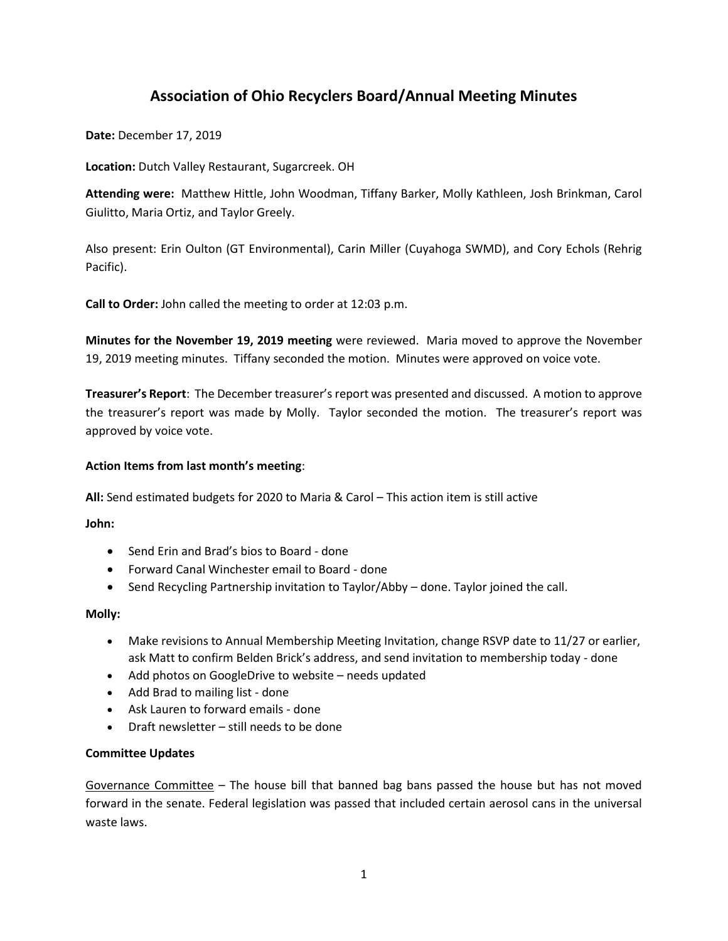# **Association of Ohio Recyclers Board/Annual Meeting Minutes**

**Date:** December 17, 2019

**Location:** Dutch Valley Restaurant, Sugarcreek. OH

**Attending were:** Matthew Hittle, John Woodman, Tiffany Barker, Molly Kathleen, Josh Brinkman, Carol Giulitto, Maria Ortiz, and Taylor Greely.

Also present: Erin Oulton (GT Environmental), Carin Miller (Cuyahoga SWMD), and Cory Echols (Rehrig Pacific).

**Call to Order:** John called the meeting to order at 12:03 p.m.

**Minutes for the November 19, 2019 meeting** were reviewed. Maria moved to approve the November 19, 2019 meeting minutes. Tiffany seconded the motion. Minutes were approved on voice vote.

**Treasurer's Report**: The December treasurer's report was presented and discussed. A motion to approve the treasurer's report was made by Molly. Taylor seconded the motion. The treasurer's report was approved by voice vote.

## **Action Items from last month's meeting**:

**All:** Send estimated budgets for 2020 to Maria & Carol – This action item is still active

**John:**

- Send Erin and Brad's bios to Board done
- Forward Canal Winchester email to Board done
- Send Recycling Partnership invitation to Taylor/Abby done. Taylor joined the call.

### **Molly:**

- Make revisions to Annual Membership Meeting Invitation, change RSVP date to 11/27 or earlier, ask Matt to confirm Belden Brick's address, and send invitation to membership today - done
- Add photos on GoogleDrive to website needs updated
- Add Brad to mailing list done
- Ask Lauren to forward emails done
- Draft newsletter still needs to be done

### **Committee Updates**

Governance Committee – The house bill that banned bag bans passed the house but has not moved forward in the senate. Federal legislation was passed that included certain aerosol cans in the universal waste laws.